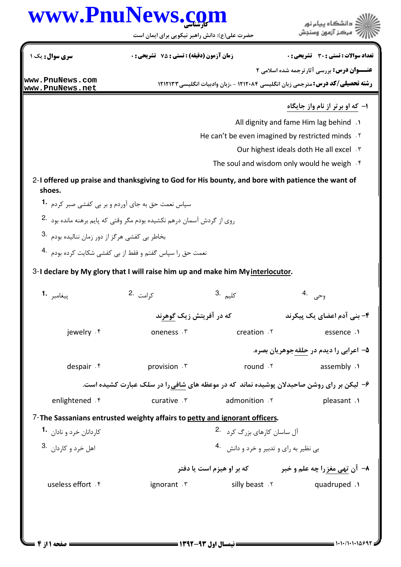|                                                                                | www.PnuNews.com                                                                                  |              | دانشگاه سام نور                                                                        |  |  |
|--------------------------------------------------------------------------------|--------------------------------------------------------------------------------------------------|--------------|----------------------------------------------------------------------------------------|--|--|
|                                                                                | حضرت علی(ع): دانش راهبر نیکویی برای ایمان است                                                    |              | مركز آزمون وسنجش                                                                       |  |  |
| <b>سری سوال :</b> یک ۱                                                         | زمان آزمون (دقیقه) : تستی : 75 ٪ تشریحی : 0                                                      |              | تعداد سوالات : تستي ; 30 ٪ تشريحي ; 0                                                  |  |  |
|                                                                                |                                                                                                  |              | <b>عنـــوان درس:</b> بررسي آثارترجمه شده اسلامي 2                                      |  |  |
| www.PnuNews.com<br>www.PnuNews.net                                             |                                                                                                  |              | <b>رشته تحصیلی/کد درس:</b> مترجمی زبان انگلیسی ۱۲۱۲۰۸۴ - ،زبان وادبیات انگلیسی ۱۲۱۲۱۳۳ |  |  |
|                                                                                |                                                                                                  |              | ۱– که او برتر از نام واز جایگاه                                                        |  |  |
|                                                                                |                                                                                                  |              | All dignity and fame Him lag behind .                                                  |  |  |
| He can't be even imagined by restricted minds . Y                              |                                                                                                  |              |                                                                                        |  |  |
| Our highest ideals doth He all excel . \v                                      |                                                                                                  |              |                                                                                        |  |  |
|                                                                                |                                                                                                  |              | The soul and wisdom only would he weigh $\mathcal{A}$                                  |  |  |
| shoes.                                                                         | 2-I offered up praise and thanksgiving to God for His bounty, and bore with patience the want of |              |                                                                                        |  |  |
|                                                                                | سپاس نعمت حق به جای آوردم و بر بی کفشی صبر کردم <b>1</b>                                         |              |                                                                                        |  |  |
|                                                                                | روی از گردش آسمان درهم نکشیده بودم مگر وقتی که پایم برهنه مانده بود <sup>.2</sup>                |              |                                                                                        |  |  |
| بخاطر بي كفشي هرگز از دور زمان نناليده بودم <sup>.3</sup>                      |                                                                                                  |              |                                                                                        |  |  |
|                                                                                | نعمت حق را سیاس گفتم و فقط از بی کفشی شکایت کرده بودم <sup>.4</sup>                              |              |                                                                                        |  |  |
| 3-I declare by My glory that I will raise him up and make him My interlocutor. |                                                                                                  |              |                                                                                        |  |  |
| پيغامبر 1.                                                                     | کرامت 2.                                                                                         | 3. كليم      | وحی .4                                                                                 |  |  |
|                                                                                | که در آفریتش زیک گوهرند                                                                          |              | ۴– بنی آدم اعضای یک پیکرند                                                             |  |  |
| jewelry . f                                                                    | oneness . ٣                                                                                      | creation . ٢ | essence .1                                                                             |  |  |
|                                                                                |                                                                                                  |              | ۵– اعرابی را دیدم در حلقه جوهریان بصره.                                                |  |  |
| despair f                                                                      | provision . ٣                                                                                    | round .Y     | assembly .1                                                                            |  |  |
|                                                                                | ۶– لیکن بر رای روشن صاحبدلان پوشیده نماند که در موعظه های شافی را در سلک عبارت کشیده است.        |              |                                                                                        |  |  |

enlightened .f curative . r admonition .Y pleasant .1

7- The Sassanians entrusted weighty affairs to petty and ignorant officers.

كاردانان خرد و نادان 1. آل ساسان کارهای بزرگ کرد 2. 3. اهل خرد و كاردان .3 بی نظیر به رای و تدبیر و خرد و دانش .4 <mark>۸</mark>− آن <u>تهی مغز</u>را چه علم و خبر مست که بر او هیزم است یا دفتر useless effort f ignorant  $\mathfrak{r}$  silly beast  $\mathfrak{r}$  quadruped  $\mathfrak{r}$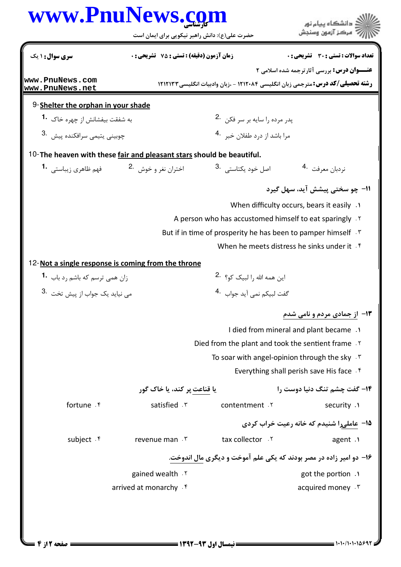## www.PnuNews.com

حضرت علی(ع): دانش راهبر نیکویی برای ایمان است

| سری سوال : ۱ یک                                                       | <b>زمان آزمون (دقیقه) : تستی : 75 ٪ تشریحی : 0</b> |  |                                         | تعداد سوالات : تستي : 30 ٪ تشريحي : 0                                           |  |
|-----------------------------------------------------------------------|----------------------------------------------------|--|-----------------------------------------|---------------------------------------------------------------------------------|--|
|                                                                       |                                                    |  |                                         | <b>عنـــوان درس:</b> بررسي آثارترجمه شده اسلامي 2                               |  |
| www.PnuNews.com<br>www.PnuNews.net                                    |                                                    |  |                                         | رشته تحصیلی/کد درس: مترجمی زبان انگلیسی ۱۲۱۲۰۸۴ - ،زبان وادبیات انگلیسی ۱۲۱۲۱۳۳ |  |
| 9-Shelter the orphan in your shade                                    |                                                    |  |                                         |                                                                                 |  |
| به شفقت بیفشانش از چهره خاک <b>1</b> ۰                                |                                                    |  | پدر مرده را سايه بر سر فكن 2.           |                                                                                 |  |
| چوبینی یتیمی سرافکنده پیش .3                                          |                                                    |  | مرا باشد از درد طفلان خبر 4.            |                                                                                 |  |
| 10-The heaven with these fair and pleasant stars should be beautiful. |                                                    |  |                                         |                                                                                 |  |
| اختران نغر و خوش <sup>.2</sup> فهم ظاهري زيباستي <b>1۰</b>            |                                                    |  | اصل خود يكتاستى . <sup>3</sup>          | نردبان معرفت 4.                                                                 |  |
|                                                                       |                                                    |  |                                         | 11- چو سختی پیشش آید، سهل گیرد                                                  |  |
|                                                                       |                                                    |  |                                         | When difficulty occurs, bears it easily .                                       |  |
|                                                                       |                                                    |  |                                         | A person who has accustomed himself to eat sparingly . Y                        |  |
|                                                                       |                                                    |  |                                         | But if in time of prosperity he has been to pamper himself .                    |  |
|                                                                       |                                                    |  |                                         | When he meets distress he sinks under it f                                      |  |
| 12-Not a single response is coming from the throne                    |                                                    |  |                                         |                                                                                 |  |
| زان همی ترسم که باشم رد باب 1.                                        |                                                    |  | این همه الله <sub>ر</sub> ا لبیک کو؟ 2. |                                                                                 |  |
| 3. می نیاید یک جواب از پیش تخت                                        |                                                    |  | گفت لبيكم نمي آيد جواب 4.               |                                                                                 |  |
|                                                                       |                                                    |  |                                         | ۱۳- از جمادی مردم و نامی شدم                                                    |  |
|                                                                       |                                                    |  |                                         | I died from mineral and plant became.                                           |  |
|                                                                       |                                                    |  |                                         | Died from the plant and took the sentient frame.                                |  |
|                                                                       |                                                    |  |                                         | To soar with angel-opinion through the sky .                                    |  |
|                                                                       |                                                    |  |                                         | Everything shall perish save His face . f                                       |  |
|                                                                       | یا قناعت پر کند، یا خاک گور                        |  |                                         | ۱۴- گفت چشم تنگ دنیا دوست را                                                    |  |
| fortune . f                                                           | satisfied . ٣                                      |  | contentment .Y                          | security .1                                                                     |  |
|                                                                       |                                                    |  |                                         | ۰۱۵ عاملهرا شنیدم که خانه رعیت خراب کردی                                        |  |
| subject f                                                             | revenue man . \v                                   |  | tax collector .Y                        | agent $\cdot$                                                                   |  |
|                                                                       |                                                    |  |                                         | ۱۶- دو امیر زاده در مصر بودند که یکی علم آموخت و دیگری مال اندوخت.              |  |
|                                                                       | gained wealth . Y                                  |  |                                         | got the portion .                                                               |  |
|                                                                       | arrived at monarchy . f                            |  |                                         | acquired money . ٣                                                              |  |
|                                                                       |                                                    |  |                                         |                                                                                 |  |
|                                                                       |                                                    |  |                                         |                                                                                 |  |
|                                                                       |                                                    |  |                                         |                                                                                 |  |

ے)<br>جگہلات دانشگاہ پیام نو<br>جگہلات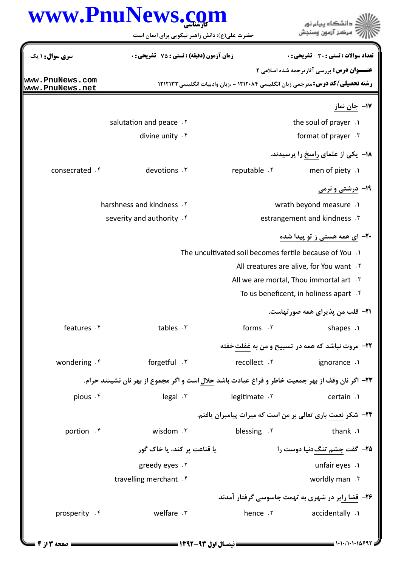|                                    | حضرت علی(ع): دانش راهبر نیکویی برای ایمان است                                                                   |                                                         |                                                                                                                                             |
|------------------------------------|-----------------------------------------------------------------------------------------------------------------|---------------------------------------------------------|---------------------------------------------------------------------------------------------------------------------------------------------|
| سری سوال : ۱ یک                    | زمان آزمون (دقيقه) : تستى : 75 تشريحى : 0                                                                       |                                                         | تعداد سوالات : تستى : 30 ٪ تشريحي : 0                                                                                                       |
| www.PnuNews.com<br>www.PnuNews.net |                                                                                                                 |                                                         | <b>عنـــوان درس:</b> بررسي آثارترجمه شده اسلامي ۲<br><b>رشته تحصیلی/کد درس:</b> مترجمی زبان انگلیسی ۱۲۱۲۰۸۴ - ،زبان وادبیات انگلیسی ۱۲۱۲۱۳۳ |
|                                    |                                                                                                                 |                                                         | ∕۱۲− جان نماز                                                                                                                               |
|                                    | salutation and peace . Y                                                                                        |                                                         | the soul of prayer .                                                                                                                        |
|                                    | divine unity $\cdot$ $\uparrow$                                                                                 |                                                         | format of prayer . ٣                                                                                                                        |
|                                    |                                                                                                                 |                                                         | ۱۸– یکی از علمای راسخ را پرسیدند.                                                                                                           |
| consecrated f                      | devotions . ٣                                                                                                   | reputable . ٢                                           | men of piety .                                                                                                                              |
|                                    |                                                                                                                 |                                                         | <b>۱۹</b> - درشتی و نرمی                                                                                                                    |
|                                    | harshness and kindness . Y                                                                                      |                                                         | wrath beyond measure .                                                                                                                      |
|                                    | severity and authority f                                                                                        |                                                         | estrangement and kindness . ٣                                                                                                               |
|                                    |                                                                                                                 |                                                         | ۲۰- ای همه هستی ز تو پیدا شده                                                                                                               |
|                                    |                                                                                                                 | The uncultivated soil becomes fertile because of You .1 |                                                                                                                                             |
|                                    |                                                                                                                 |                                                         | All creatures are alive, for You want . Y                                                                                                   |
|                                    |                                                                                                                 |                                                         | All we are mortal, Thou immortal art . ٣                                                                                                    |
|                                    |                                                                                                                 |                                                         | To us beneficent, in holiness apart f                                                                                                       |
|                                    |                                                                                                                 |                                                         | <b>٢١</b> - قلب من پذيراى همه صورتهاست.                                                                                                     |
| features .f                        | tables . ٣                                                                                                      | forms . ٢                                               | shapes .1                                                                                                                                   |
|                                    |                                                                                                                 |                                                         | <b>3۲-</b> مروت نباشد که همه در تسبیح و من به غفلت خفته                                                                                     |
| wondering . f                      | forgetful . ٣                                                                                                   | recollect . ٢                                           | ignorance .1                                                                                                                                |
|                                    | <b>۲۳</b> – اگر نان وقف از بهر جمعیت خاطر و فراغ عبادت باشد <u>حلال</u> است و اگر مجموع از بهر نان نشینند حرام. |                                                         |                                                                                                                                             |
| pious . e                          | $legal \cdot$ $\mathcal{F}$                                                                                     | legitimate Y                                            | certain .1                                                                                                                                  |
|                                    |                                                                                                                 |                                                         | <b>۲۴</b> - شکر نعمت باری تعالی بر من است که میراث پیامبران یافتم.                                                                          |
| portion . f                        | wisdom . ٣                                                                                                      | blessing . ٢                                            | thank .                                                                                                                                     |
|                                    | يا قناعت پر كند، يا خاک گور                                                                                     |                                                         | <b>۲۵</b> - گفت چشم تنگ دنیا دوست را                                                                                                        |
|                                    | greedy eyes . Y                                                                                                 |                                                         | unfair eyes .1                                                                                                                              |
|                                    | travelling merchant f                                                                                           |                                                         | worldly man $\cdot$ $\cdot$                                                                                                                 |
|                                    |                                                                                                                 |                                                         | ۲۶– قضا رابر در شهری به تهمت جاسوسی گرفتار آمدند.                                                                                           |
| prosperity . f                     | welfare . ٣                                                                                                     | hence Y                                                 | accidentally .1                                                                                                                             |